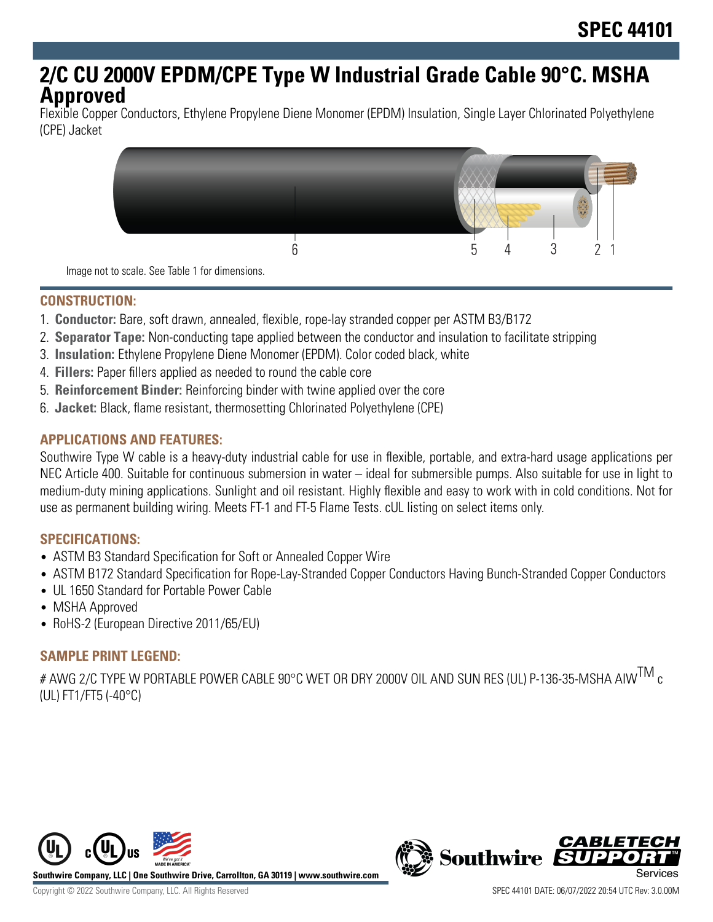# **2/C CU 2000V EPDM/CPE Type W Industrial Grade Cable 90°C. MSHA Approved**

Flexible Copper Conductors, Ethylene Propylene Diene Monomer (EPDM) Insulation, Single Layer Chlorinated Polyethylene (CPE) Jacket



Image not to scale. See Table 1 for dimensions.

# **CONSTRUCTION:**

- 1. **Conductor:** Bare, soft drawn, annealed, flexible, rope-lay stranded copper per ASTM B3/B172
- 2. **Separator Tape:** Non-conducting tape applied between the conductor and insulation to facilitate stripping
- 3. **Insulation:** Ethylene Propylene Diene Monomer (EPDM). Color coded black, white
- 4. **Fillers:** Paper fillers applied as needed to round the cable core
- 5. **Reinforcement Binder:** Reinforcing binder with twine applied over the core
- 6. **Jacket:** Black, flame resistant, thermosetting Chlorinated Polyethylene (CPE)

# **APPLICATIONS AND FEATURES:**

Southwire Type W cable is a heavy-duty industrial cable for use in flexible, portable, and extra-hard usage applications per NEC Article 400. Suitable for continuous submersion in water – ideal for submersible pumps. Also suitable for use in light to medium-duty mining applications. Sunlight and oil resistant. Highly flexible and easy to work with in cold conditions. Not for use as permanent building wiring. Meets FT-1 and FT-5 Flame Tests. cUL listing on select items only.

#### **SPECIFICATIONS:**

- ASTM B3 Standard Specification for Soft or Annealed Copper Wire
- ASTM B172 Standard Specification for Rope-Lay-Stranded Copper Conductors Having Bunch-Stranded Copper Conductors
- UL 1650 Standard for Portable Power Cable
- MSHA Approved
- RoHS-2 (European Directive 2011/65/EU)

# **SAMPLE PRINT LEGEND:**

# AWG 2/C TYPE W PORTABLE POWER CABLE 90°C WET OR DRY 2000V OIL AND SUN RES (UL) P-136-35-MSHA AIW $^{\sf TM}$  c (UL) FT1/FT5 (-40°C)